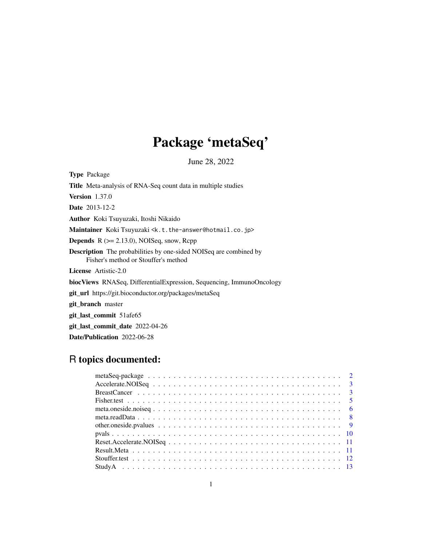# Package 'metaSeq'

June 28, 2022

<span id="page-0-0"></span>Type Package Title Meta-analysis of RNA-Seq count data in multiple studies Version 1.37.0 Date 2013-12-2 Author Koki Tsuyuzaki, Itoshi Nikaido Maintainer Koki Tsuyuzaki <k.t.the-answer@hotmail.co.jp> Depends R (>= 2.13.0), NOISeq, snow, Rcpp Description The probabilities by one-sided NOISeq are combined by Fisher's method or Stouffer's method License Artistic-2.0 biocViews RNASeq, DifferentialExpression, Sequencing, ImmunoOncology git\_url https://git.bioconductor.org/packages/metaSeq git\_branch master git\_last\_commit 51afe65 git\_last\_commit\_date 2022-04-26 Date/Publication 2022-06-28

# R topics documented: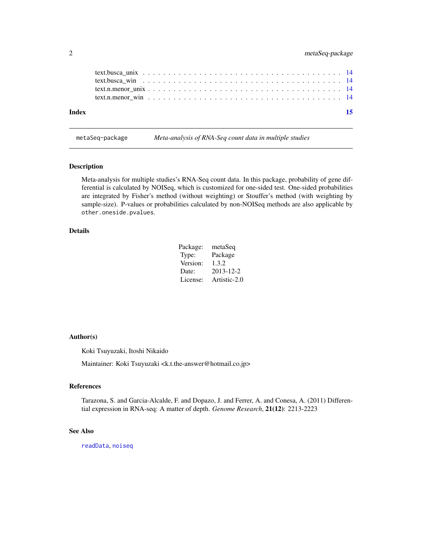<span id="page-1-0"></span>

| Index | -15 |
|-------|-----|
|       |     |
|       |     |
|       |     |
|       |     |

metaSeq-package *Meta-analysis of RNA-Seq count data in multiple studies*

### Description

Meta-analysis for multiple studies's RNA-Seq count data. In this package, probability of gene differential is calculated by NOISeq, which is customized for one-sided test. One-sided probabilities are integrated by Fisher's method (without weighting) or Stouffer's method (with weighting by sample-size). P-values or probabilities calculated by non-NOISeq methods are also applicable by other.oneside.pvalues.

# Details

| Package: | metaSeq      |
|----------|--------------|
| Type:    | Package      |
| Version: | 1.3.2        |
| Date:    | 2013-12-2    |
| License: | Artistic-2.0 |

### Author(s)

Koki Tsuyuzaki, Itoshi Nikaido

Maintainer: Koki Tsuyuzaki <k.t.the-answer@hotmail.co.jp>

#### References

Tarazona, S. and Garcia-Alcalde, F. and Dopazo, J. and Ferrer, A. and Conesa, A. (2011) Differential expression in RNA-seq: A matter of depth. *Genome Research*, 21(12): 2213-2223

### See Also

[readData](#page-0-0), [noiseq](#page-0-0)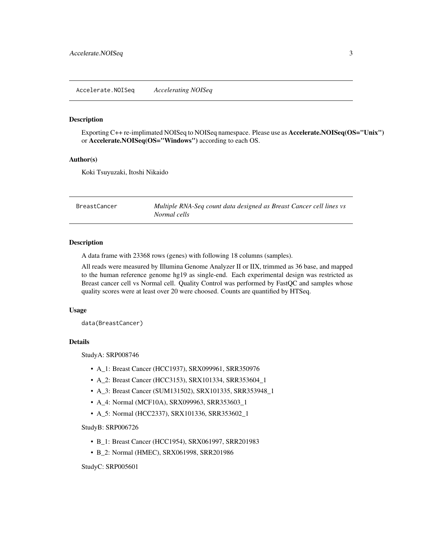#### <span id="page-2-0"></span>Description

Exporting C++ re-implimated NOISeq to NOISeq namespace. Please use as **Accelerate.NOISeq(OS="Unix")** or Accelerate.NOISeq(OS="Windows") according to each OS.

#### Author(s)

Koki Tsuyuzaki, Itoshi Nikaido

<span id="page-2-1"></span>BreastCancer *Multiple RNA-Seq count data designed as Breast Cancer cell lines vs Normal cells*

# Description

A data frame with 23368 rows (genes) with following 18 columns (samples).

All reads were measured by Illumina Genome Analyzer II or IIX, trimmed as 36 base, and mapped to the human reference genome hg19 as single-end. Each experimental design was restricted as Breast cancer cell vs Normal cell. Quality Control was performed by FastQC and samples whose quality scores were at least over 20 were choosed. Counts are quantified by HTSeq.

#### Usage

data(BreastCancer)

#### Details

StudyA: SRP008746

- A\_1: Breast Cancer (HCC1937), SRX099961, SRR350976
- A\_2: Breast Cancer (HCC3153), SRX101334, SRR353604\_1
- A\_3: Breast Cancer (SUM131502), SRX101335, SRR353948\_1
- A\_4: Normal (MCF10A), SRX099963, SRR353603\_1
- A\_5: Normal (HCC2337), SRX101336, SRR353602\_1

#### StudyB: SRP006726

- B\_1: Breast Cancer (HCC1954), SRX061997, SRR201983
- B\_2: Normal (HMEC), SRX061998, SRR201986

StudyC: SRP005601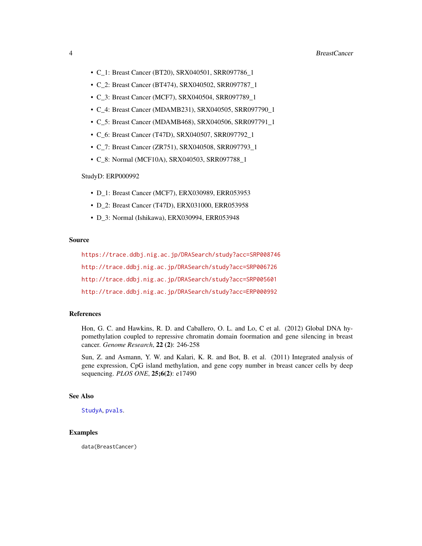- <span id="page-3-0"></span>• C\_1: Breast Cancer (BT20), SRX040501, SRR097786\_1
- C\_2: Breast Cancer (BT474), SRX040502, SRR097787\_1
- C\_3: Breast Cancer (MCF7), SRX040504, SRR097789\_1
- C\_4: Breast Cancer (MDAMB231), SRX040505, SRR097790\_1
- C\_5: Breast Cancer (MDAMB468), SRX040506, SRR097791\_1
- C\_6: Breast Cancer (T47D), SRX040507, SRR097792\_1
- C\_7: Breast Cancer (ZR751), SRX040508, SRR097793\_1
- C\_8: Normal (MCF10A), SRX040503, SRR097788\_1

#### StudyD: ERP000992

- D\_1: Breast Cancer (MCF7), ERX030989, ERR053953
- D\_2: Breast Cancer (T47D), ERX031000, ERR053958
- D\_3: Normal (Ishikawa), ERX030994, ERR053948

### Source

<https://trace.ddbj.nig.ac.jp/DRASearch/study?acc=SRP008746> <http://trace.ddbj.nig.ac.jp/DRASearch/study?acc=SRP006726> <http://trace.ddbj.nig.ac.jp/DRASearch/study?acc=SRP005601> <http://trace.ddbj.nig.ac.jp/DRASearch/study?acc=ERP000992>

#### References

Hon, G. C. and Hawkins, R. D. and Caballero, O. L. and Lo, C et al. (2012) Global DNA hypomethylation coupled to repressive chromatin domain foormation and gene silencing in breast cancer. *Genome Research*, 22 (2): 246-258

Sun, Z. and Asmann, Y. W. and Kalari, K. R. and Bot, B. et al. (2011) Integrated analysis of gene expression, CpG island methylation, and gene copy number in breast cancer cells by deep sequencing. *PLOS ONE*, 25;6(2): e17490

# See Also

[StudyA](#page-12-1), [pvals](#page-9-1).

# Examples

data(BreastCancer)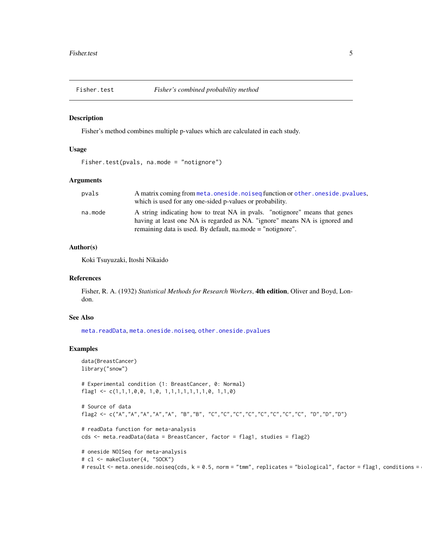<span id="page-4-0"></span>

#### Description

Fisher's method combines multiple p-values which are calculated in each study.

#### Usage

```
Fisher.test(pvals, na.mode = "notignore")
```
### Arguments

| pvals   | A matrix coming from meta.oneside.noiseq function or other.oneside.pvalues, |
|---------|-----------------------------------------------------------------------------|
|         | which is used for any one-sided p-values or probability.                    |
| na.mode | A string indicating how to treat NA in pyals. "notignore" means that genes  |
|         | having at least one NA is regarded as NA. "ignore" means NA is ignored and  |
|         | remaining data is used. By default, na.mode = "notignore".                  |

#### Author(s)

Koki Tsuyuzaki, Itoshi Nikaido

### References

Fisher, R. A. (1932) *Statistical Methods for Research Workers*, 4th edition, Oliver and Boyd, London.

# See Also

[meta.readData](#page-7-1), [meta.oneside.noiseq](#page-5-1), [other.oneside.pvalues](#page-8-1)

### Examples

```
data(BreastCancer)
library("snow")
# Experimental condition (1: BreastCancer, 0: Normal)
flag1 <- c(1,1,1,0,0, 1,0, 1,1,1,1,1,1,1,0, 1,1,0)
# Source of data
flag2 <- c("A","A","A","A","A", "B","B", "C","C","C","C","C","C","C","C", "D","D","D")
# readData function for meta-analysis
cds <- meta.readData(data = BreastCancer, factor = flag1, studies = flag2)
# oneside NOISeq for meta-analysis
# cl <- makeCluster(4, "SOCK")
# result <- meta.oneside.noiseq(cds, k = 0.5, norm = "tmm", replicates = "biological", factor = flag1, conditions =
```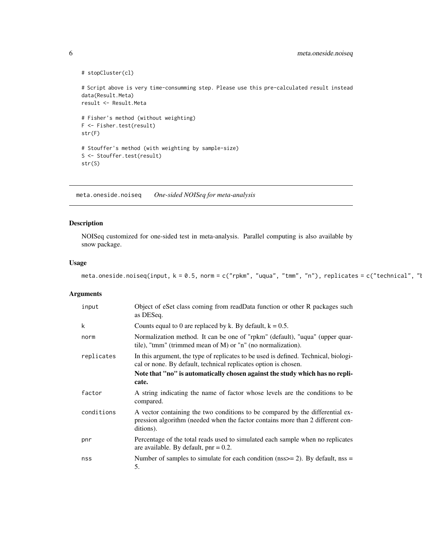```
# stopCluster(cl)
# Script above is very time-consumming step. Please use this pre-calculated result instead
data(Result.Meta)
result <- Result.Meta
# Fisher's method (without weighting)
F <- Fisher.test(result)
str(F)
# Stouffer's method (with weighting by sample-size)
S <- Stouffer.test(result)
str(S)
```
<span id="page-5-1"></span>meta.oneside.noiseq *One-sided NOISeq for meta-analysis*

# Description

NOISeq customized for one-sided test in meta-analysis. Parallel computing is also available by snow package.

#### Usage

```
meta.oneside.noiseq(input, k = 0.5, norm = c("rpkm", "uqua", "tmm", "n"), replicates = c("technical", "l
```
#### Arguments

| input      | Object of eSet class coming from readData function or other R packages such<br>as DESeq.                                                                                     |
|------------|------------------------------------------------------------------------------------------------------------------------------------------------------------------------------|
| k          | Counts equal to 0 are replaced by k. By default, $k = 0.5$ .                                                                                                                 |
| norm       | Normalization method. It can be one of "rpkm" (default), "uqua" (upper quar-<br>tile), "tmm" (trimmed mean of M) or "n" (no normalization).                                  |
| replicates | In this argument, the type of replicates to be used is defined. Technical, biologi-<br>cal or none. By default, technical replicates option is chosen.                       |
|            | Note that "no" is automatically chosen against the study which has no repli-                                                                                                 |
|            | cate.                                                                                                                                                                        |
| factor     | A string indicating the name of factor whose levels are the conditions to be<br>compared.                                                                                    |
| conditions | A vector containing the two conditions to be compared by the differential ex-<br>pression algorithm (needed when the factor contains more than 2 different con-<br>ditions). |
| pnr        | Percentage of the total reads used to simulated each sample when no replicates<br>are available. By default, $pnr = 0.2$ .                                                   |
| nss        | Number of samples to simulate for each condition ( $nss = 2$ ). By default, $nss =$<br>5.                                                                                    |

<span id="page-5-0"></span>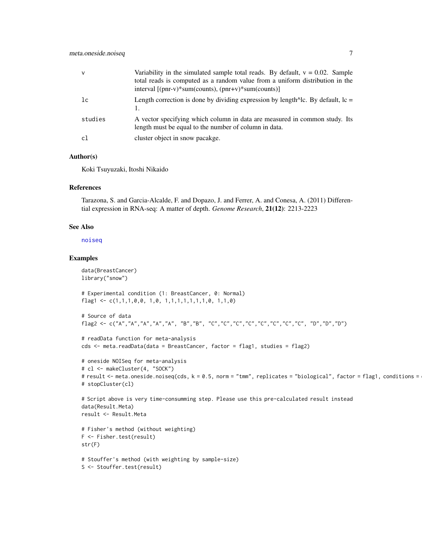<span id="page-6-0"></span>

| $\mathsf{v}$ | Variability in the simulated sample total reads. By default, $v = 0.02$ . Sample<br>total reads is computed as a random value from a uniform distribution in the<br>interval $[(pn - v)*sum(counts), (pn + v)*sum(counts)]$ |
|--------------|-----------------------------------------------------------------------------------------------------------------------------------------------------------------------------------------------------------------------------|
| lc           | Length correction is done by dividing expression by length $\triangle$ lc. By default, lc =                                                                                                                                 |
| studies      | A vector specifying which column in data are measured in common study. Its<br>length must be equal to the number of column in data.                                                                                         |
| c1           | cluster object in snow pacakge.                                                                                                                                                                                             |

#### Author(s)

Koki Tsuyuzaki, Itoshi Nikaido

#### References

Tarazona, S. and Garcia-Alcalde, F. and Dopazo, J. and Ferrer, A. and Conesa, A. (2011) Differential expression in RNA-seq: A matter of depth. *Genome Research*, 21(12): 2213-2223

### See Also

[noiseq](#page-0-0)

### Examples

```
data(BreastCancer)
library("snow")
# Experimental condition (1: BreastCancer, 0: Normal)
flag1 <- c(1,1,1,0,0, 1,0, 1,1,1,1,1,1,1,0, 1,1,0)
# Source of data
flag2 <- c("A","A","A","A","A", "B","B", "C","C","C","C","C","C","C","C", "D","D","D")
# readData function for meta-analysis
cds <- meta.readData(data = BreastCancer, factor = flag1, studies = flag2)
# oneside NOISeq for meta-analysis
# cl <- makeCluster(4, "SOCK")
# result <- meta.oneside.noiseq(cds, k = 0.5, norm = "tmm", replicates = "biological", factor = flag1, conditions =
# stopCluster(cl)
# Script above is very time-consumming step. Please use this pre-calculated result instead
data(Result.Meta)
result <- Result.Meta
# Fisher's method (without weighting)
F <- Fisher.test(result)
str(F)
# Stouffer's method (with weighting by sample-size)
S <- Stouffer.test(result)
```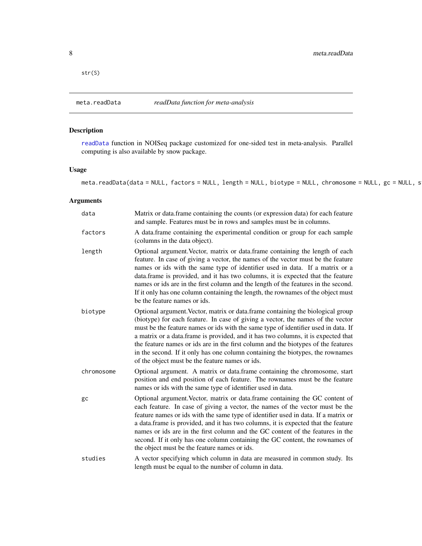<span id="page-7-0"></span>str(S)

<span id="page-7-1"></span>meta.readData *readData function for meta-analysis*

# Description

[readData](#page-0-0) function in NOISeq package customized for one-sided test in meta-analysis. Parallel computing is also available by snow package.

### Usage

meta.readData(data = NULL, factors = NULL, length = NULL, biotype = NULL, chromosome = NULL, gc = NULL, s

# Arguments

| data       | Matrix or data.frame containing the counts (or expression data) for each feature<br>and sample. Features must be in rows and samples must be in columns.                                                                                                                                                                                                                                                                                                                                                                                                                |
|------------|-------------------------------------------------------------------------------------------------------------------------------------------------------------------------------------------------------------------------------------------------------------------------------------------------------------------------------------------------------------------------------------------------------------------------------------------------------------------------------------------------------------------------------------------------------------------------|
| factors    | A data.frame containing the experimental condition or group for each sample<br>(columns in the data object).                                                                                                                                                                                                                                                                                                                                                                                                                                                            |
| length     | Optional argument. Vector, matrix or data. frame containing the length of each<br>feature. In case of giving a vector, the names of the vector must be the feature<br>names or ids with the same type of identifier used in data. If a matrix or a<br>data.frame is provided, and it has two columns, it is expected that the feature<br>names or ids are in the first column and the length of the features in the second.<br>If it only has one column containing the length, the rownames of the object must<br>be the feature names or ids.                         |
| biotype    | Optional argument. Vector, matrix or data.frame containing the biological group<br>(biotype) for each feature. In case of giving a vector, the names of the vector<br>must be the feature names or ids with the same type of identifier used in data. If<br>a matrix or a data.frame is provided, and it has two columns, it is expected that<br>the feature names or ids are in the first column and the biotypes of the features<br>in the second. If it only has one column containing the biotypes, the rownames<br>of the object must be the feature names or ids. |
| chromosome | Optional argument. A matrix or data.frame containing the chromosome, start<br>position and end position of each feature. The rownames must be the feature<br>names or ids with the same type of identifier used in data.                                                                                                                                                                                                                                                                                                                                                |
| gc         | Optional argument. Vector, matrix or data. frame containing the GC content of<br>each feature. In case of giving a vector, the names of the vector must be the<br>feature names or ids with the same type of identifier used in data. If a matrix or<br>a data.frame is provided, and it has two columns, it is expected that the feature<br>names or ids are in the first column and the GC content of the features in the<br>second. If it only has one column containing the GC content, the rownames of<br>the object must be the feature names or ids.             |
| studies    | A vector specifying which column in data are measured in common study. Its<br>length must be equal to the number of column in data.                                                                                                                                                                                                                                                                                                                                                                                                                                     |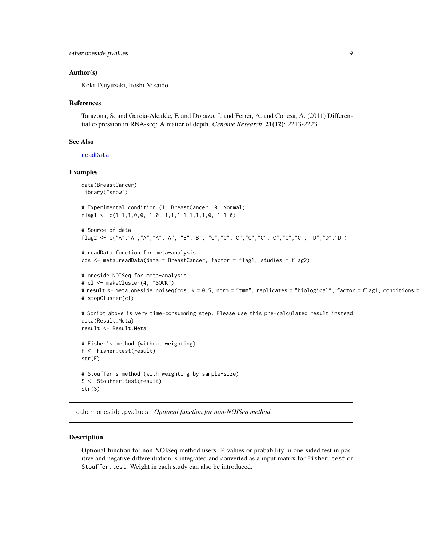```
other.oneside.pvalues 9
```
### Author(s)

Koki Tsuyuzaki, Itoshi Nikaido

#### References

Tarazona, S. and Garcia-Alcalde, F. and Dopazo, J. and Ferrer, A. and Conesa, A. (2011) Differential expression in RNA-seq: A matter of depth. *Genome Research*, 21(12): 2213-2223

#### See Also

[readData](#page-0-0)

#### Examples

```
data(BreastCancer)
library("snow")
# Experimental condition (1: BreastCancer, 0: Normal)
flag1 <- c(1,1,1,0,0, 1,0, 1,1,1,1,1,1,1,0, 1,1,0)
# Source of data
flag2 <- c("A","A","A","A","A", "B","B", "C","C","C","C","C","C","C","C", "D","D","D")
# readData function for meta-analysis
cds <- meta.readData(data = BreastCancer, factor = flag1, studies = flag2)
# oneside NOISeq for meta-analysis
# cl <- makeCluster(4, "SOCK")
# result <- meta.oneside.noiseq(cds, k = 0.5, norm = "tmm", replicates = "biological", factor = flag1, conditions =
# stopCluster(cl)
# Script above is very time-consumming step. Please use this pre-calculated result instead
data(Result.Meta)
result <- Result.Meta
# Fisher's method (without weighting)
F <- Fisher.test(result)
str(F)
# Stouffer's method (with weighting by sample-size)
S <- Stouffer.test(result)
str(S)
```
<span id="page-8-1"></span>other.oneside.pvalues *Optional function for non-NOISeq method*

#### Description

Optional function for non-NOISeq method users. P-values or probability in one-sided test in positive and negative differentiation is integrated and converted as a input matrix for Fisher.test or Stouffer.test. Weight in each study can also be introduced.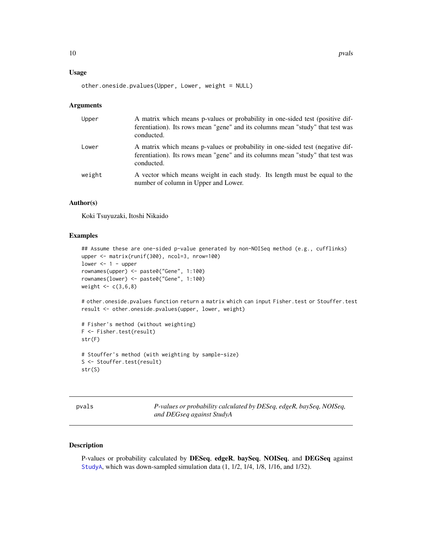#### <span id="page-9-0"></span>Usage

other.oneside.pvalues(Upper, Lower, weight = NULL)

#### **Arguments**

| Upper  | A matrix which means p-values or probability in one-sided test (positive dif-<br>ferentiation). Its rows mean "gene" and its columns mean "study" that test was<br>conducted. |
|--------|-------------------------------------------------------------------------------------------------------------------------------------------------------------------------------|
| Lower  | A matrix which means p-values or probability in one-sided test (negative dif-<br>ferentiation). Its rows mean "gene" and its columns mean "study" that test was<br>conducted. |
| weight | A vector which means weight in each study. Its length must be equal to the<br>number of column in Upper and Lower.                                                            |

# Author(s)

Koki Tsuyuzaki, Itoshi Nikaido

# Examples

```
## Assume these are one-sided p-value generated by non-NOISeq method (e.g., cufflinks)
upper <- matrix(runif(300), ncol=3, nrow=100)
lower <-1 - upper
rownames(upper) <- paste0("Gene", 1:100)
rownames(lower) <- paste0("Gene", 1:100)
weight \leq -c(3,6,8)
```
# other.oneside.pvalues function return a matrix which can input Fisher.test or Stouffer.test result <- other.oneside.pvalues(upper, lower, weight)

```
# Fisher's method (without weighting)
F <- Fisher.test(result)
str(F)
# Stouffer's method (with weighting by sample-size)
S <- Stouffer.test(result)
str(S)
```
<span id="page-9-1"></span>

*P-values or probability calculated by DESeq, edgeR, baySeq, NOISeq, and DEGseq against StudyA*

# Description

P-values or probability calculated by DESeq, edgeR, baySeq, NOISeq, and DEGSeq against [StudyA](#page-12-1), which was down-sampled simulation data (1, 1/2, 1/4, 1/8, 1/16, and 1/32).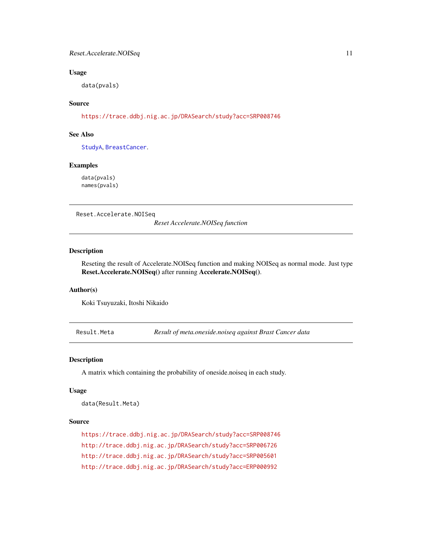### <span id="page-10-0"></span>Usage

data(pvals)

# Source

<https://trace.ddbj.nig.ac.jp/DRASearch/study?acc=SRP008746>

### See Also

[StudyA](#page-12-1), [BreastCancer](#page-2-1).

#### Examples

data(pvals) names(pvals)

Reset.Accelerate.NOISeq

*Reset Accelerate.NOISeq function*

# Description

Reseting the result of Accelerate.NOISeq function and making NOISeq as normal mode. Just type Reset.Accelerate.NOISeq() after running Accelerate.NOISeq().

#### Author(s)

Koki Tsuyuzaki, Itoshi Nikaido

Result.Meta *Result of meta.oneside.noiseq against Brast Cancer data*

### Description

A matrix which containing the probability of oneside.noiseq in each study.

#### Usage

data(Result.Meta)

#### Source

```
https://trace.ddbj.nig.ac.jp/DRASearch/study?acc=SRP008746
http://trace.ddbj.nig.ac.jp/DRASearch/study?acc=SRP006726
http://trace.ddbj.nig.ac.jp/DRASearch/study?acc=SRP005601
http://trace.ddbj.nig.ac.jp/DRASearch/study?acc=ERP000992
```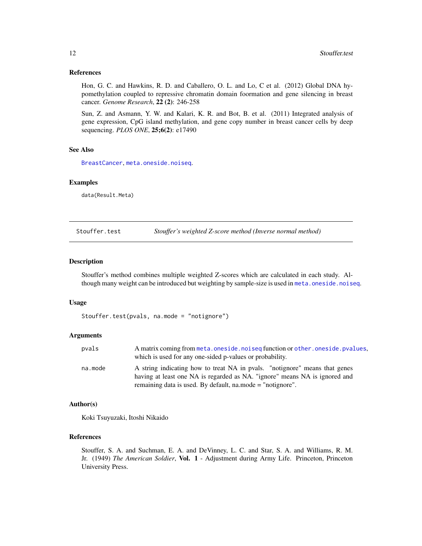#### <span id="page-11-0"></span>References

Hon, G. C. and Hawkins, R. D. and Caballero, O. L. and Lo, C et al. (2012) Global DNA hypomethylation coupled to repressive chromatin domain foormation and gene silencing in breast cancer. *Genome Research*, 22 (2): 246-258

Sun, Z. and Asmann, Y. W. and Kalari, K. R. and Bot, B. et al. (2011) Integrated analysis of gene expression, CpG island methylation, and gene copy number in breast cancer cells by deep sequencing. *PLOS ONE*, 25;6(2): e17490

# See Also

[BreastCancer](#page-2-1), [meta.oneside.noiseq](#page-5-1).

# Examples

data(Result.Meta)

Stouffer.test *Stouffer's weighted Z-score method (Inverse normal method)*

#### Description

Stouffer's method combines multiple weighted Z-scores which are calculated in each study. Although many weight can be introduced but weighting by sample-size is used in [meta.oneside.noiseq](#page-5-1).

#### Usage

Stouffer.test(pvals, na.mode = "notignore")

#### Arguments

| pvals   | A matrix coming from meta. one side. noised function or other, one side, pyalues,<br>which is used for any one-sided p-values or probability.            |
|---------|----------------------------------------------------------------------------------------------------------------------------------------------------------|
| na.mode | A string indicating how to treat NA in pyals. "notignore" means that genes<br>having at least one NA is regarded as NA. "ignore" means NA is ignored and |
|         | remaining data is used. By default, na.mode = "notignore".                                                                                               |

#### Author(s)

Koki Tsuyuzaki, Itoshi Nikaido

#### References

Stouffer, S. A. and Suchman, E. A. and DeVinney, L. C. and Star, S. A. and Williams, R. M. Jr. (1949) *The American Soldier*, Vol. 1 - Adjustment during Army Life. Princeton, Princeton University Press.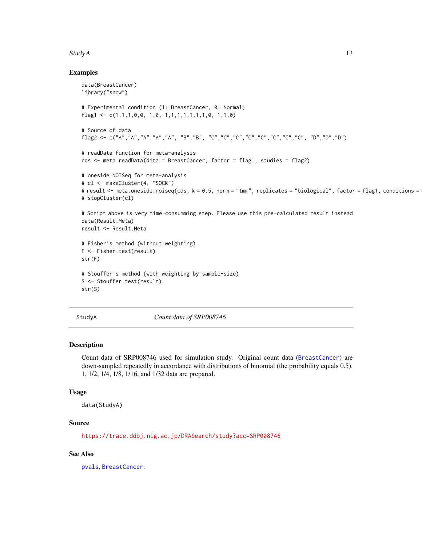#### <span id="page-12-0"></span> $StudyA$  13

#### Examples

```
data(BreastCancer)
library("snow")
# Experimental condition (1: BreastCancer, 0: Normal)
flag1 <- c(1,1,1,0,0, 1,0, 1,1,1,1,1,1,1,0, 1,1,0)
# Source of data
flag2 <- c("A","A","A","A","A", "B","B", "C","C","C","C","C","C","C","C", "D","D","D")
# readData function for meta-analysis
cds <- meta.readData(data = BreastCancer, factor = flag1, studies = flag2)
# oneside NOISeq for meta-analysis
# cl <- makeCluster(4, "SOCK")
# result <- meta.oneside.noiseq(cds, k = 0.5, norm = "tmm", replicates = "biological", factor = flag1, conditions =
# stopCluster(cl)
# Script above is very time-consumming step. Please use this pre-calculated result instead
data(Result.Meta)
result <- Result.Meta
# Fisher's method (without weighting)
F <- Fisher.test(result)
str(F)
# Stouffer's method (with weighting by sample-size)
S <- Stouffer.test(result)
str(S)
```
<span id="page-12-1"></span>StudyA *Count data of SRP008746*

#### Description

Count data of SRP008746 used for simulation study. Original count data ([BreastCancer](#page-2-1)) are down-sampled repeatedly in accordance with distributions of binomial (the probability equals 0.5). 1, 1/2, 1/4, 1/8, 1/16, and 1/32 data are prepared.

#### Usage

```
data(StudyA)
```
# Source

<https://trace.ddbj.nig.ac.jp/DRASearch/study?acc=SRP008746>

# See Also

[pvals](#page-9-1), [BreastCancer](#page-2-1).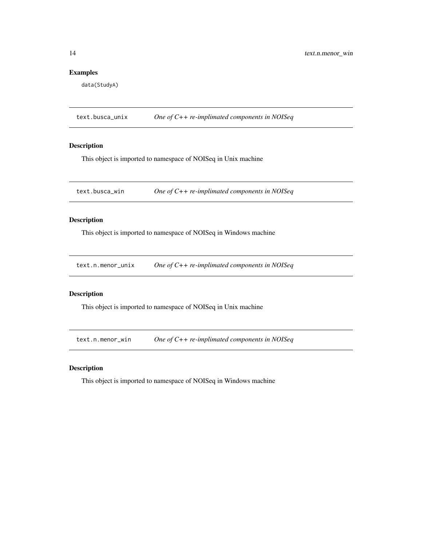# <span id="page-13-0"></span>Examples

data(StudyA)

text.busca\_unix *One of C++ re-implimated components in NOISeq*

### Description

This object is imported to namespace of NOISeq in Unix machine

text.busca\_win *One of C++ re-implimated components in NOISeq*

# Description

This object is imported to namespace of NOISeq in Windows machine

text.n.menor\_unix *One of C++ re-implimated components in NOISeq*

# Description

This object is imported to namespace of NOISeq in Unix machine

text.n.menor\_win *One of C++ re-implimated components in NOISeq*

# Description

This object is imported to namespace of NOISeq in Windows machine